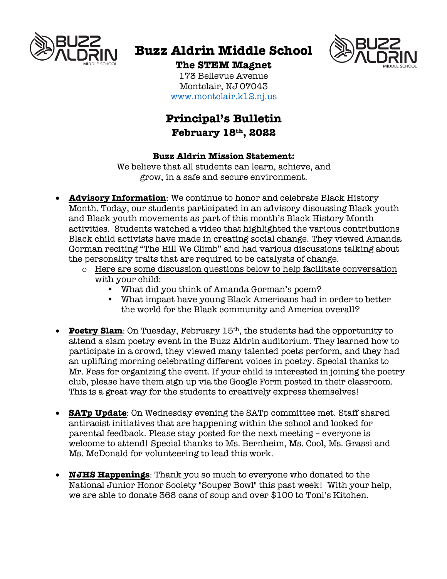

# **Buzz Aldrin Middle School**



### **The STEM Magnet**

173 Bellevue Avenue Montclair, NJ 07043 www.montclair.k12.nj.us

## **Principal's Bulletin February 18th, 2022**

#### **Buzz Aldrin Mission Statement:**

We believe that all students can learn, achieve, and grow, in a safe and secure environment.

- **Advisory Information**: We continue to honor and celebrate Black History Month. Today, our students participated in an advisory discussing Black youth and Black youth movements as part of this month's Black History Month activities. Students watched a video that highlighted the various contributions Black child activists have made in creating social change. They viewed Amanda Gorman reciting "The Hill We Climb" and had various discussions talking about the personality traits that are required to be catalysts of change.
	- o Here are some discussion questions below to help facilitate conversation with your child:
		- § What did you think of Amanda Gorman's poem?
		- What impact have young Black Americans had in order to better the world for the Black community and America overall?
- **Poetry Slam**: On Tuesday, February 15th, the students had the opportunity to attend a slam poetry event in the Buzz Aldrin auditorium. They learned how to participate in a crowd, they viewed many talented poets perform, and they had an uplifting morning celebrating different voices in poetry. Special thanks to Mr. Fess for organizing the event. If your child is interested in joining the poetry club, please have them sign up via the Google Form posted in their classroom. This is a great way for the students to creatively express themselves!
- **SATp Update**: On Wednesday evening the SATp committee met. Staff shared antiracist initiatives that are happening within the school and looked for parental feedback. Please stay posted for the next meeting  $-$  everyone is welcome to attend! Special thanks to Ms. Bernheim, Ms. Cool, Ms. Grassi and Ms. McDonald for volunteering to lead this work.
- **NJHS Happenings**: Thank you so much to everyone who donated to the National Junior Honor Society "Souper Bowl" this past week! With your help, we are able to donate 368 cans of soup and over \$100 to Toni's Kitchen.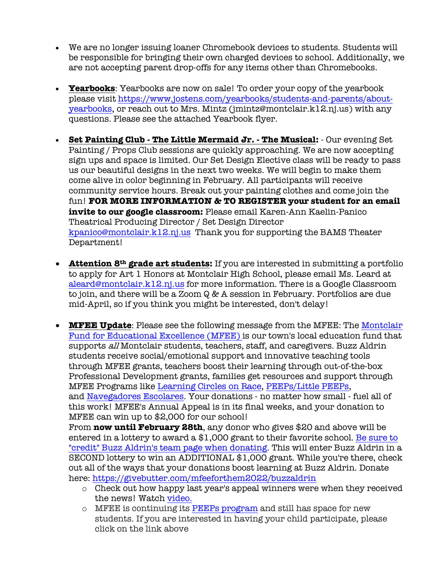- We are no longer issuing loaner Chromebook devices to students. Students will be responsible for bringing their own charged devices to school. Additionally, we are not accepting parent drop-offs for any items other than Chromebooks.
- **Yearbooks**: Yearbooks are now on sale! To order your copy of the yearbook please visit https://www.jostens.com/yearbooks/students-and-parents/aboutyearbooks, or reach out to Mrs. Mintz (jmintz@montclair.k12.nj.us) with any questions. Please see the attached Yearbook flyer.
- **Set Painting Club - The Little Mermaid Jr. - The Musical:** Our evening Set Painting / Props Club sessions are quickly approaching. We are now accepting sign ups and space is limited. Our Set Design Elective class will be ready to pass us our beautiful designs in the next two weeks. We will begin to make them come alive in color beginning in February. All participants will receive community service hours. Break out your painting clothes and come join the fun! **FOR MORE INFORMATION & TO REGISTER your student for an email invite to our google classroom:** Please email Karen-Ann Kaelin-Panico Theatrical Producing Director / Set Design Director kpanico@montclair.k12.nj.us Thank you for supporting the BAMS Theater Department!
- **Attention 8th grade art students:** If you are interested in submitting a portfolio to apply for Art 1 Honors at Montclair High School, please email Ms. Leard at aleard@montclair.k12.nj.us for more information. There is a Google Classroom to join, and there will be a Zoom Q & A session in February. Portfolios are due mid-April, so if you think you might be interested, don't delay!
- **MFEE Update**: Please see the following message from the MFEE: The Montclair Fund for Educational Excellence (MFEE) is our town's local education fund that supports all Montclair students, teachers, staff, and caregivers. Buzz Aldrin students receive social/emotional support and innovative teaching tools through MFEE grants, teachers boost their learning through out-of-the-box Professional Development grants, families get resources and support through MFEE Programs like Learning Circles on Race, PEEPs/Little PEEPs, and Navegadores Escolares. Your donations - no matter how small - fuel all of this work! MFEE's Annual Appeal is in its final weeks, and your donation to MFEE can win up to \$2,000 for our school! From **now until February 28th**, any donor who gives \$20 and above will be

entered in a lottery to award a \$1,000 grant to their favorite school. Be sure to "credit" Buzz Aldrin's team page when donating. This will enter Buzz Aldrin in a SECOND lottery to win an ADDITIONAL \$1,000 grant. While you're there, check out all of the ways that your donations boost learning at Buzz Aldrin. Donate here: https://givebutter.com/mfeeforthem2022/buzzaldrin

- o Check out how happy last year's appeal winners were when they received the news! Watch video.
- $\circ$  MFEE is continuing its PEEPs program and still has space for new students. If you are interested in having your child participate, please click on the link above